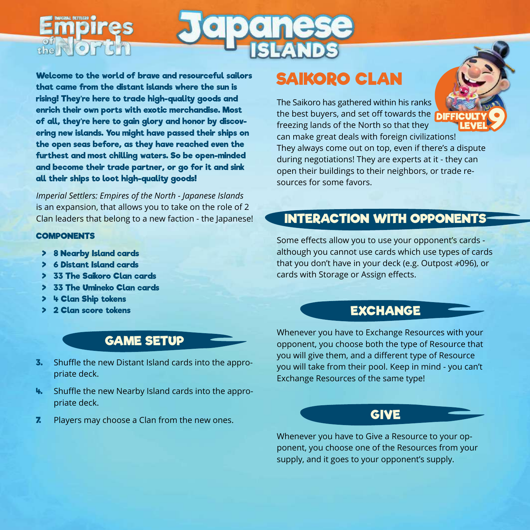Welcome to the world of brave and resourceful sailors that came from the distant islands where the sun is rising! They're here to trade high-quality goods and enrich their own ports with exotic merchandise. Most of all, they're here to gain glory and honor by discovering new islands. You might have passed their ships on the open seas before, as they have reached even the furthest and most chilling waters. So be open-minded and become their trade partner, or go for it and sink all their ships to loot high-quality goods!

*Imperial Settlers: Empires of the North - Japanese Islands* is an expansion, that allows you to take on the role of 2 Clan leaders that belong to a new faction - the Japanese!

### **COMPONENTS**

the **NOT** 

- > 8 Nearby Island cards
- > 6 Distant Island cards
- 33 The Saikoro Clan cards
- > 33 The Umineko Clan cards
- > 4 Clan Ship tokens
- > 2 Clan score tokens

# GAME SETUP

- **3.** Shuffle the new Distant Island cards into the appropriate deck.
- 4. Shuffle the new Nearby Island cards into the appropriate deck.
- **7.** Players may choose a Clan from the new ones.

# SAIKORO CLAN

The Saikoro has gathered within his ranks the best buyers, and set off towards the freezing lands of the North so that they can make great deals with foreign civilizations! They always come out on top, even if there's a dispute during negotiations! They are experts at it - they can open their buildings to their neighbors, or trade resources for some favors. **DIFFICULTY** CULTY 9

# INTERACTION WITH OPPONENTS

Some effects allow you to use your opponent's cards although you cannot use cards which use types of cards that you don't have in your deck (e.g. Outpost #096), or cards with Storage or Assign effects.

# **EXCHANGE**

Whenever you have to Exchange Resources with your opponent, you choose both the type of Resource that you will give them, and a different type of Resource you will take from their pool. Keep in mind - you can't Exchange Resources of the same type!

## GIVE

Whenever you have to Give a Resource to your opponent, you choose one of the Resources from your supply, and it goes to your opponent's supply.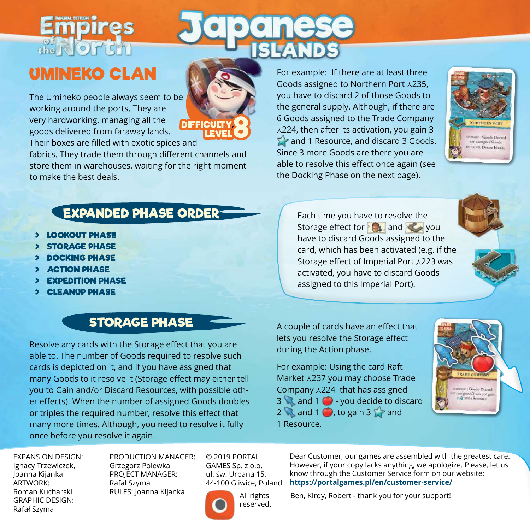# $\frac{1}{\text{the N}}$  or  $\frac{1}{\text{C}}$

# UMINEKO CLAN

The Umineko people always seem to be working around the ports. They are very hardworking, managing all the goods delivered from faraway lands. Their boxes are filled with exotic spices and



fabrics. They trade them through different channels and store them in warehouses, waiting for the right moment to make the best deals.

For example: If there are at least three Goods assigned to Northern Port  $\lambda$ 235, you have to discard 2 of those Goods to the general supply. Although, if there are 6 Goods assigned to the Trade Company  $\lambda$ 224, then after its activation, you gain 3 and 1 Resource, and discard 3 Goods. Since 3 more Goods are there you are able to resolve this effect once again (see the Docking Phase on the next page).



# EXPANDED PHASE ORDER

- > LOOKOUT PHASE
- **STORAGE PHASE**
- > DOCKING PHASE
- **ACTION PHASE**
- **EXPEDITION PHASE**
- > CLEANUP PHASE

# STORAGE PHASE

Resolve any cards with the Storage effect that you are able to. The number of Goods required to resolve such cards is depicted on it, and if you have assigned that many Goods to it resolve it (Storage effect may either tell you to Gain and/or Discard Resources, with possible other effects). When the number of assigned Goods doubles or triples the required number, resolve this effect that many more times. Although, you need to resolve it fully once before you resolve it again.

Each time you have to resolve the Storage effect for  $\mathbb{R}$  and  $\mathbb{Z}$  you have to discard Goods assigned to the card, which has been activated (e.g. if the Storage effect of Imperial Port  $\lambda$ 223 was activated, you have to discard Goods assigned to this Imperial Port).

A couple of cards have an effect that lets you resolve the Storage effect during the Action phase.

For example: Using the card Raft Market  $\lambda$ 237 you may choose Trade Company  $\lambda$ 224 that has assigned  $3 \times$  and  $1 \cdot$  - you decide to discard 2 and 1 **b**, to gain 3  $\sum$  and 1 Resource.



EXPANSION DESIGN: Ignacy Trzewiczek, Joanna Kijanka ARTWORK: Roman Kucharski GRAPHIC DESIGN: Rafał Szyma

PRODUCTION MANAGER: Grzegorz Polewka PROJECT MANAGER: Rafał Szyma RULES: Joanna Kijanka

© 2019 PORTAL GAMES Sp. z o.o. ul. św. Urbana 15, 44-100 Gliwice, Poland



All rights reserved. Dear Customer, our games are assembled with the greatest care. However, if your copy lacks anything, we apologize. Please, let us know through the Customer Service form on our website: **https://portalgames.pl/en/customer-service/**

Ben, Kirdy, Robert - thank you for your support!

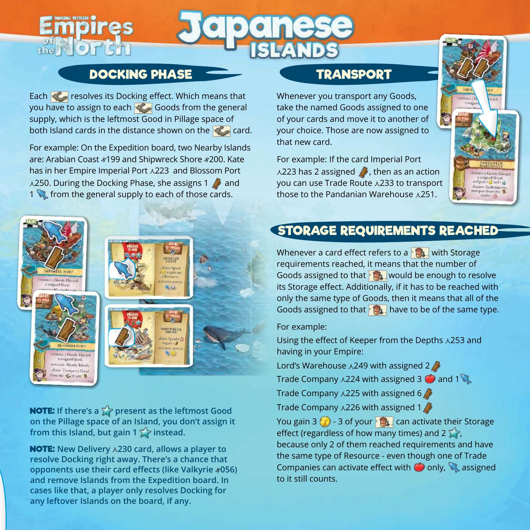# DOCKING PHASE

 $\frac{1}{2}$ 

Each **Resolves its Docking effect. Which means that** you have to assign to each Goods from the general supply, which is the leftmost Good in Pillage space of both Island cards in the distance shown on the card.

For example: On the Expedition board, two Nearby Islands are: Arabian Coast #199 and Shipwreck Shore #200. Kate has in her Empire Imperial Port  $\lambda$ 223 and Blossom Port  $\lambda$ 250. During the Docking Phase, she assigns 1  $\Lambda$  and 1 **from the general supply to each of those cards.** 



**NOTE:** If there's a  $\sum$  present as the leftmost Good **on the Pillage space of an Island, you don't assign it**  from this Island, but gain 1  $\sum$  instead.

NOTE: **New Delivery 230 card, allows a player to resolve Docking right away. There's a chance that opponents use their card effects (like Valkyrie 056) and remove Islands from the Expedition board. In cases like that, a player only resolves Docking for any leftover Islands on the board, if any.**

# TRANSPORT

Whenever you transport any Goods, take the named Goods assigned to one of your cards and move it to another of your choice. Those are now assigned to that new card.

For example: If the card Imperial Port  $\lambda$ 223 has 2 assigned **b**, then as an action you can use Trade Route x 233 to transport those to the Pandanian Warehouse  $\lambda$ 251.



# STORAGE REQUIREMENTS REACHED

Whenever a card effect refers to a  $\mathbb{R}$  with Storage requirements reached, it means that the number of Goods assigned to that  $\mathbb{R}$  would be enough to resolve its Storage effect. Additionally, if it has to be reached with only the same type of Goods, then it means that all of the Goods assigned to that  $\mathbf{h}$  have to be of the same type.

For example:

Using the effect of Keeper from the Depths  $\lambda$ 253 and having in your Empire:

Lord's Warehouse  $\lambda$ 249 with assigned 2

Trade Company  $\lambda$ 224 with assigned 3 and 1

Trade Company  $\lambda$ 225 with assigned 6

Trade Company  $\lambda$ 226 with assigned 1

You gain 3  $\odot$  - 3 of your  $\odot$  can activate their Storage effect (regardless of how many times) and 2  $\sum$ because only 2 of them reached requirements and have the same type of Resource - even though one of Trade Companies can activate effect with  $\bullet$  only,  $\mathbb{Q}$  assigned to it still counts.